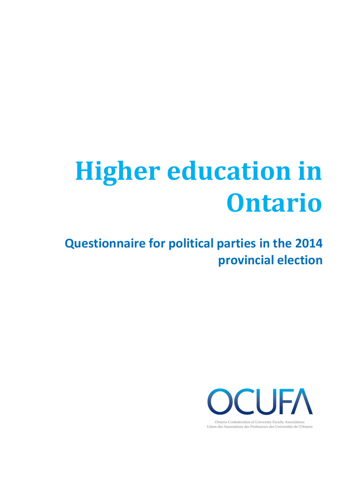# **Higher education in Ontario**

**Questionnaire for political parties in the 2014 provincial election** 



Union des Associations des Professeurs des Universités de l'Ontario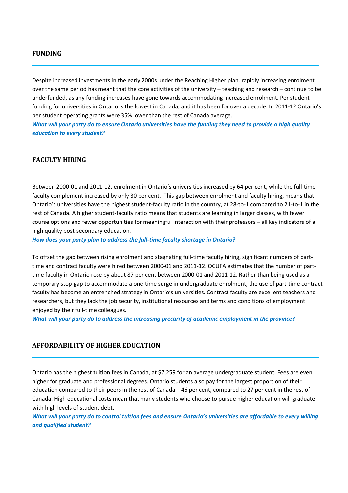# **FUNDING**

Despite increased investments in the early 2000s under the Reaching Higher plan, rapidly increasing enrolment over the same period has meant that the core activities of the university – teaching and research – continue to be underfunded, as any funding increases have gone towards accommodating increased enrolment. Per student funding for universities in Ontario is the lowest in Canada, and it has been for over a decade. In 2011-12 Ontario's per student operating grants were 35% lower than the rest of Canada average.

*What will your party do to ensure Ontario universities have the funding they need to provide a high quality education to every student?* 

# **FACULTY HIRING**

Between 2000-01 and 2011-12, enrolment in Ontario's universities increased by 64 per cent, while the full-time faculty complement increased by only 30 per cent. This gap between enrolment and faculty hiring, means that Ontario's universities have the highest student-faculty ratio in the country, at 28-to-1 compared to 21-to-1 in the rest of Canada. A higher student-faculty ratio means that students are learning in larger classes, with fewer course options and fewer opportunities for meaningful interaction with their professors – all key indicators of a high quality post-secondary education.

*How does your party plan to address the full-time faculty shortage in Ontario?* 

To offset the gap between rising enrolment and stagnating full-time faculty hiring, significant numbers of parttime and contract faculty were hired between 2000-01 and 2011-12. OCUFA estimates that the number of parttime faculty in Ontario rose by about 87 per cent between 2000-01 and 2011-12. Rather than being used as a temporary stop-gap to accommodate a one-time surge in undergraduate enrolment, the use of part-time contract faculty has become an entrenched strategy in Ontario's universities. Contract faculty are excellent teachers and researchers, but they lack the job security, institutional resources and terms and conditions of employment enjoyed by their full-time colleagues.

*What will your party do to address the increasing precarity of academic employment in the province?* 

### **AFFORDABILITY OF HIGHER EDUCATION**

Ontario has the highest tuition fees in Canada, at \$7,259 for an average undergraduate student. Fees are even higher for graduate and professional degrees. Ontario students also pay for the largest proportion of their education compared to their peers in the rest of Canada – 46 per cent, compared to 27 per cent in the rest of Canada. High educational costs mean that many students who choose to pursue higher education will graduate with high levels of student debt.

*What will your party do to control tuition fees and ensure Ontario's universities are affordable to every willing and qualified student?*